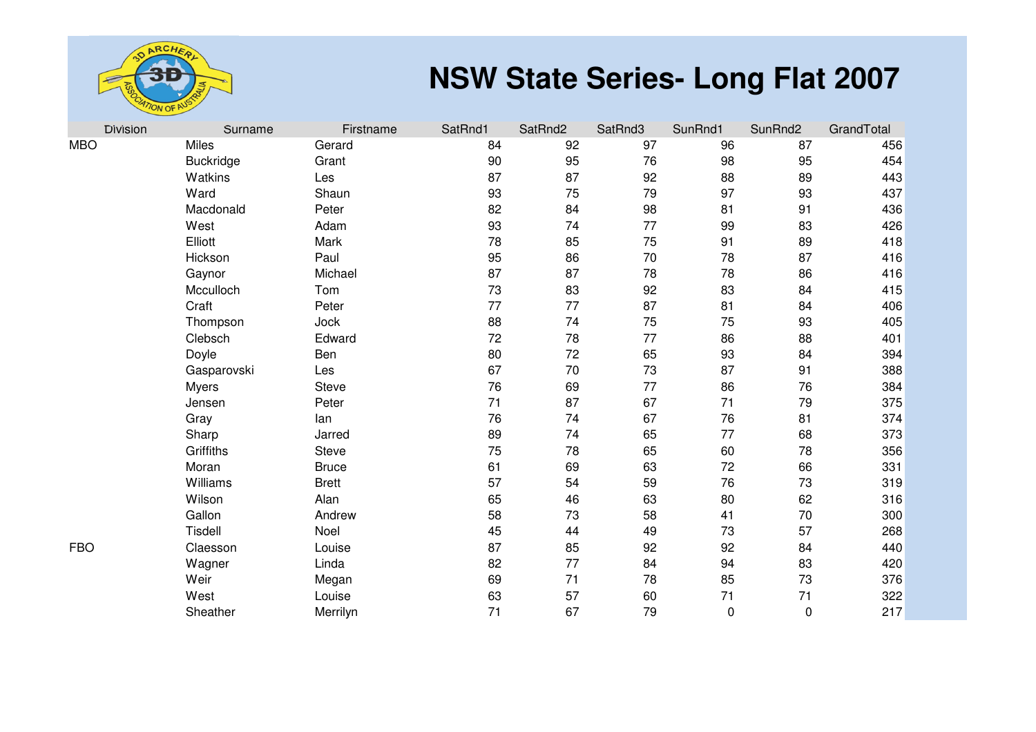

| <b>Division</b> | Surname          | Firstname    | SatRnd1 | SatRnd2 | SatRnd3 | SunRnd1     | SunRnd2 | GrandTotal |
|-----------------|------------------|--------------|---------|---------|---------|-------------|---------|------------|
| MBO             | <b>Miles</b>     | Gerard       | 84      | 92      | 97      | 96          | 87      | 456        |
|                 | <b>Buckridge</b> | Grant        | 90      | 95      | 76      | 98          | 95      | 454        |
|                 | Watkins          | Les          | 87      | 87      | 92      | 88          | 89      | 443        |
|                 | Ward             | Shaun        | 93      | 75      | 79      | 97          | 93      | 437        |
|                 | Macdonald        | Peter        | 82      | 84      | 98      | 81          | 91      | 436        |
|                 | West             | Adam         | 93      | 74      | 77      | 99          | 83      | 426        |
|                 | Elliott          | Mark         | 78      | 85      | 75      | 91          | 89      | 418        |
|                 | Hickson          | Paul         | 95      | 86      | 70      | 78          | 87      | 416        |
|                 | Gaynor           | Michael      | 87      | 87      | 78      | 78          | 86      | 416        |
|                 | Mcculloch        | Tom          | 73      | 83      | 92      | 83          | 84      | 415        |
|                 | Craft            | Peter        | 77      | 77      | 87      | 81          | 84      | 406        |
|                 | Thompson         | Jock         | 88      | 74      | 75      | 75          | 93      | 405        |
|                 | Clebsch          | Edward       | 72      | 78      | 77      | 86          | 88      | 401        |
|                 | Doyle            | Ben          | 80      | 72      | 65      | 93          | 84      | 394        |
|                 | Gasparovski      | Les          | 67      | 70      | 73      | 87          | 91      | 388        |
|                 | <b>Myers</b>     | <b>Steve</b> | 76      | 69      | 77      | 86          | 76      | 384        |
|                 | Jensen           | Peter        | 71      | 87      | 67      | 71          | 79      | 375        |
|                 | Gray             | lan          | 76      | 74      | 67      | 76          | 81      | 374        |
|                 | Sharp            | Jarred       | 89      | 74      | 65      | 77          | 68      | 373        |
|                 | Griffiths        | <b>Steve</b> | 75      | 78      | 65      | 60          | 78      | 356        |
|                 | Moran            | <b>Bruce</b> | 61      | 69      | 63      | 72          | 66      | 331        |
|                 | Williams         | <b>Brett</b> | 57      | 54      | 59      | 76          | 73      | 319        |
|                 | Wilson           | Alan         | 65      | 46      | 63      | 80          | 62      | 316        |
|                 | Gallon           | Andrew       | 58      | 73      | 58      | 41          | 70      | 300        |
|                 | Tisdell          | Noel         | 45      | 44      | 49      | 73          | 57      | 268        |
| FBO             | Claesson         | Louise       | 87      | 85      | 92      | 92          | 84      | 440        |
|                 | Wagner           | Linda        | 82      | 77      | 84      | 94          | 83      | 420        |
|                 | Weir             | Megan        | 69      | 71      | 78      | 85          | 73      | 376        |
|                 | West             | Louise       | 63      | 57      | 60      | 71          | 71      | 322        |
|                 | Sheather         | Merrilyn     | 71      | 67      | 79      | $\mathbf 0$ | 0       | 217        |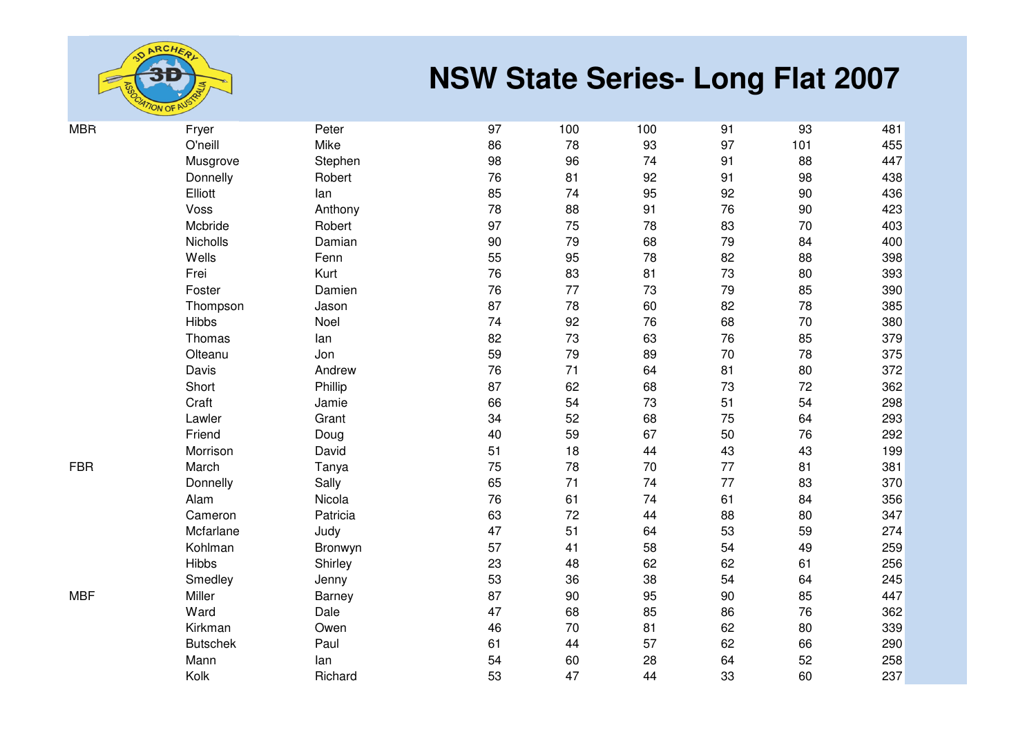

| Fryer           | Peter                                                                                                                                                                                                                                                                                                                                                                                                                                                                                                                                                                                                                                                                                                                                                                                                                                                                                                                                                                                                          | 97 | 100 | 100 | 91  | 93  | 481 |
|-----------------|----------------------------------------------------------------------------------------------------------------------------------------------------------------------------------------------------------------------------------------------------------------------------------------------------------------------------------------------------------------------------------------------------------------------------------------------------------------------------------------------------------------------------------------------------------------------------------------------------------------------------------------------------------------------------------------------------------------------------------------------------------------------------------------------------------------------------------------------------------------------------------------------------------------------------------------------------------------------------------------------------------------|----|-----|-----|-----|-----|-----|
| O'neill         | 78<br>Mike<br>86<br>98<br>96<br>Musgrove<br>Stephen<br>76<br>81<br>Donnelly<br>Robert<br>74<br>Elliott<br>85<br>lan<br>78<br>Voss<br>Anthony<br>88<br>Mcbride<br>97<br>75<br>Robert<br>90<br>Nicholls<br>79<br>Damian<br>95<br>Wells<br>55<br>Fenn<br>76<br>83<br>Frei<br>Kurt<br>76<br>77<br>Foster<br>Damien<br>87<br>78<br>Thompson<br>Jason<br><b>Hibbs</b><br>74<br>92<br>Noel<br>82<br>73<br>Thomas<br>lan<br>59<br>79<br>Olteanu<br>Jon<br>71<br>Davis<br>76<br>Andrew<br>87<br>62<br>Short<br>Phillip<br>66<br>54<br>Craft<br>Jamie<br>52<br>Lawler<br>34<br>Grant<br>40<br>59<br>Friend<br>Doug<br>51<br>18<br>Morrison<br>David<br>78<br>75<br>March<br>Tanya<br>65<br>71<br>Sally<br>Donnelly<br>76<br>61<br>Alam<br>Nicola<br>63<br>72<br>Cameron<br>Patricia<br>47<br>51<br>Mcfarlane<br>Judy<br>57<br>Kohlman<br>41<br>Bronwyn<br><b>Hibbs</b><br>23<br>48<br>Shirley<br>53<br>Smedley<br>36<br>Jenny<br>87<br>Miller<br>90<br>Barney<br>47<br>Ward<br>68<br>Dale<br>46<br>70<br>Kirkman<br>Owen |    | 93  | 97  | 101 | 455 |     |
|                 |                                                                                                                                                                                                                                                                                                                                                                                                                                                                                                                                                                                                                                                                                                                                                                                                                                                                                                                                                                                                                |    |     | 74  | 91  | 88  | 447 |
|                 |                                                                                                                                                                                                                                                                                                                                                                                                                                                                                                                                                                                                                                                                                                                                                                                                                                                                                                                                                                                                                |    |     | 92  | 91  | 98  | 438 |
|                 |                                                                                                                                                                                                                                                                                                                                                                                                                                                                                                                                                                                                                                                                                                                                                                                                                                                                                                                                                                                                                |    |     | 95  | 92  | 90  | 436 |
|                 |                                                                                                                                                                                                                                                                                                                                                                                                                                                                                                                                                                                                                                                                                                                                                                                                                                                                                                                                                                                                                |    |     | 91  | 76  | 90  | 423 |
|                 |                                                                                                                                                                                                                                                                                                                                                                                                                                                                                                                                                                                                                                                                                                                                                                                                                                                                                                                                                                                                                |    |     | 78  | 83  | 70  | 403 |
|                 |                                                                                                                                                                                                                                                                                                                                                                                                                                                                                                                                                                                                                                                                                                                                                                                                                                                                                                                                                                                                                |    |     | 68  | 79  | 84  | 400 |
|                 |                                                                                                                                                                                                                                                                                                                                                                                                                                                                                                                                                                                                                                                                                                                                                                                                                                                                                                                                                                                                                |    |     | 78  | 82  | 88  | 398 |
|                 |                                                                                                                                                                                                                                                                                                                                                                                                                                                                                                                                                                                                                                                                                                                                                                                                                                                                                                                                                                                                                |    |     | 81  | 73  | 80  | 393 |
|                 |                                                                                                                                                                                                                                                                                                                                                                                                                                                                                                                                                                                                                                                                                                                                                                                                                                                                                                                                                                                                                |    |     | 73  | 79  | 85  | 390 |
|                 |                                                                                                                                                                                                                                                                                                                                                                                                                                                                                                                                                                                                                                                                                                                                                                                                                                                                                                                                                                                                                |    |     | 60  | 82  | 78  | 385 |
|                 |                                                                                                                                                                                                                                                                                                                                                                                                                                                                                                                                                                                                                                                                                                                                                                                                                                                                                                                                                                                                                |    |     | 76  | 68  | 70  | 380 |
|                 |                                                                                                                                                                                                                                                                                                                                                                                                                                                                                                                                                                                                                                                                                                                                                                                                                                                                                                                                                                                                                |    |     | 63  | 76  | 85  | 379 |
|                 |                                                                                                                                                                                                                                                                                                                                                                                                                                                                                                                                                                                                                                                                                                                                                                                                                                                                                                                                                                                                                |    |     | 89  | 70  | 78  | 375 |
|                 |                                                                                                                                                                                                                                                                                                                                                                                                                                                                                                                                                                                                                                                                                                                                                                                                                                                                                                                                                                                                                |    |     | 64  | 81  | 80  | 372 |
|                 |                                                                                                                                                                                                                                                                                                                                                                                                                                                                                                                                                                                                                                                                                                                                                                                                                                                                                                                                                                                                                |    |     | 68  | 73  | 72  | 362 |
|                 |                                                                                                                                                                                                                                                                                                                                                                                                                                                                                                                                                                                                                                                                                                                                                                                                                                                                                                                                                                                                                |    |     | 73  | 51  | 54  | 298 |
|                 |                                                                                                                                                                                                                                                                                                                                                                                                                                                                                                                                                                                                                                                                                                                                                                                                                                                                                                                                                                                                                |    |     | 68  | 75  | 64  | 293 |
|                 |                                                                                                                                                                                                                                                                                                                                                                                                                                                                                                                                                                                                                                                                                                                                                                                                                                                                                                                                                                                                                |    |     | 67  | 50  | 76  | 292 |
|                 |                                                                                                                                                                                                                                                                                                                                                                                                                                                                                                                                                                                                                                                                                                                                                                                                                                                                                                                                                                                                                |    |     | 44  | 43  | 43  | 199 |
|                 |                                                                                                                                                                                                                                                                                                                                                                                                                                                                                                                                                                                                                                                                                                                                                                                                                                                                                                                                                                                                                |    |     | 70  | 77  | 81  | 381 |
|                 |                                                                                                                                                                                                                                                                                                                                                                                                                                                                                                                                                                                                                                                                                                                                                                                                                                                                                                                                                                                                                |    |     | 74  | 77  | 83  | 370 |
|                 |                                                                                                                                                                                                                                                                                                                                                                                                                                                                                                                                                                                                                                                                                                                                                                                                                                                                                                                                                                                                                |    |     | 74  | 61  | 84  | 356 |
|                 |                                                                                                                                                                                                                                                                                                                                                                                                                                                                                                                                                                                                                                                                                                                                                                                                                                                                                                                                                                                                                |    |     | 44  | 88  | 80  | 347 |
|                 |                                                                                                                                                                                                                                                                                                                                                                                                                                                                                                                                                                                                                                                                                                                                                                                                                                                                                                                                                                                                                |    |     | 64  | 53  | 59  | 274 |
|                 |                                                                                                                                                                                                                                                                                                                                                                                                                                                                                                                                                                                                                                                                                                                                                                                                                                                                                                                                                                                                                |    |     | 58  | 54  | 49  | 259 |
|                 |                                                                                                                                                                                                                                                                                                                                                                                                                                                                                                                                                                                                                                                                                                                                                                                                                                                                                                                                                                                                                |    |     | 62  | 62  | 61  | 256 |
|                 |                                                                                                                                                                                                                                                                                                                                                                                                                                                                                                                                                                                                                                                                                                                                                                                                                                                                                                                                                                                                                |    |     | 38  | 54  | 64  | 245 |
|                 |                                                                                                                                                                                                                                                                                                                                                                                                                                                                                                                                                                                                                                                                                                                                                                                                                                                                                                                                                                                                                |    |     | 95  | 90  | 85  | 447 |
|                 |                                                                                                                                                                                                                                                                                                                                                                                                                                                                                                                                                                                                                                                                                                                                                                                                                                                                                                                                                                                                                |    |     | 85  | 86  | 76  | 362 |
|                 |                                                                                                                                                                                                                                                                                                                                                                                                                                                                                                                                                                                                                                                                                                                                                                                                                                                                                                                                                                                                                |    |     | 81  | 62  | 80  | 339 |
| <b>Butschek</b> | Paul                                                                                                                                                                                                                                                                                                                                                                                                                                                                                                                                                                                                                                                                                                                                                                                                                                                                                                                                                                                                           | 61 | 44  | 57  | 62  | 66  | 290 |
| Mann            | lan                                                                                                                                                                                                                                                                                                                                                                                                                                                                                                                                                                                                                                                                                                                                                                                                                                                                                                                                                                                                            | 54 | 60  | 28  | 64  | 52  | 258 |
| Kolk            | Richard                                                                                                                                                                                                                                                                                                                                                                                                                                                                                                                                                                                                                                                                                                                                                                                                                                                                                                                                                                                                        | 53 | 47  | 44  | 33  | 60  | 237 |
|                 |                                                                                                                                                                                                                                                                                                                                                                                                                                                                                                                                                                                                                                                                                                                                                                                                                                                                                                                                                                                                                |    |     |     |     |     |     |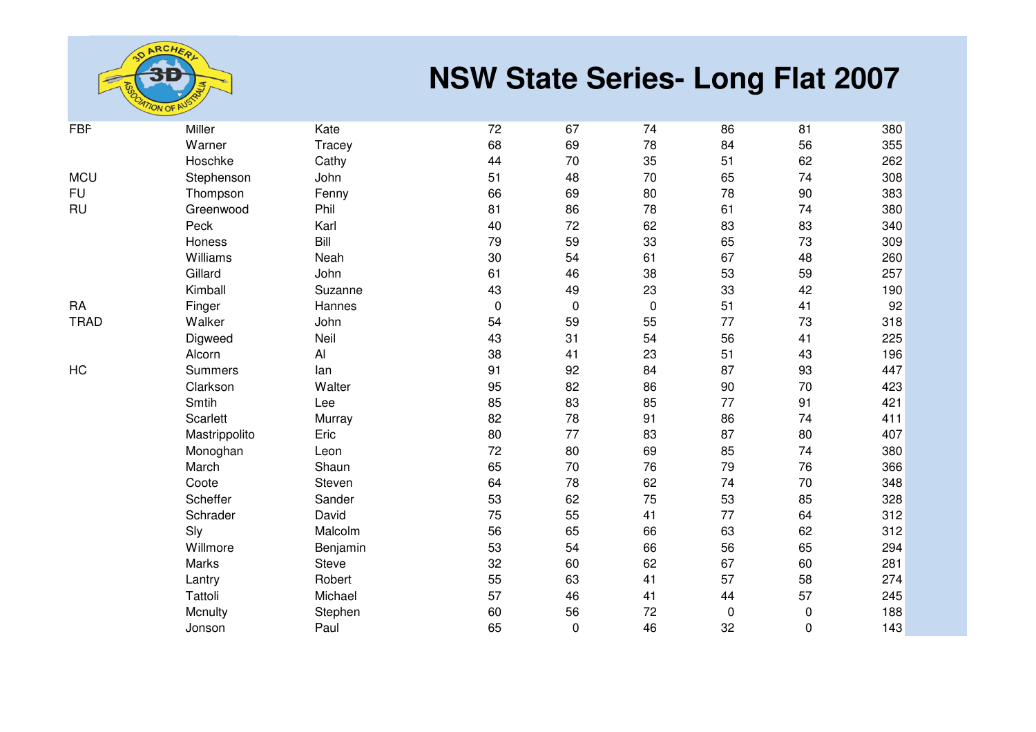

| <b>FBF</b>  | <b>Miller</b>  | Kate     | 72        | 67        | 74          | 86          | 81          | 380 |
|-------------|----------------|----------|-----------|-----------|-------------|-------------|-------------|-----|
|             | Warner         | Tracey   | 68        | 69        | 78          | 84          | 56          | 355 |
|             | Hoschke        | Cathy    | 44        | $70\,$    | 35          | 51          | 62          | 262 |
| <b>MCU</b>  | Stephenson     | John     | 51        | 48        | 70          | 65          | 74          | 308 |
| <b>FU</b>   | Thompson       | Fenny    | 66        | 69        | 80          | 78          | 90          | 383 |
| <b>RU</b>   | Greenwood      | Phil     | 81        | 86        | 78          | 61          | 74          | 380 |
|             | Peck           | Karl     | 40        | 72        | 62          | 83          | 83          | 340 |
|             | Honess         | Bill     | 79        | 59        | 33          | 65          | 73          | 309 |
|             | Williams       | Neah     | 30        | 54        | 61          | 67          | 48          | 260 |
|             | Gillard        | John     | 61        | 46        | 38          | 53          | 59          | 257 |
|             | Kimball        | Suzanne  | 43        | 49        | 23          | 33          | 42          | 190 |
| RA          | Finger         | Hannes   | $\pmb{0}$ | $\pmb{0}$ | $\mathbf 0$ | 51          | 41          | 92  |
| <b>TRAD</b> | Walker         | John     | 54        | 59        | 55          | 77          | 73          | 318 |
|             | Digweed        | Neil     | 43        | 31        | 54          | 56          | 41          | 225 |
|             | Alcorn         | AI       | 38        | 41        | 23          | 51          | 43          | 196 |
| HC          | <b>Summers</b> | lan      | 91        | 92        | 84          | 87          | 93          | 447 |
|             | Clarkson       | Walter   | 95        | 82        | 86          | 90          | 70          | 423 |
|             | Smtih          | Lee      | 85        | 83        | 85          | 77          | 91          | 421 |
|             | Scarlett       | Murray   | 82        | 78        | 91          | 86          | 74          | 411 |
|             | Mastrippolito  | Eric     | 80        | 77        | 83          | 87          | 80          | 407 |
|             | Monoghan       | Leon     | 72        | 80        | 69          | 85          | 74          | 380 |
|             | March          | Shaun    | 65        | 70        | 76          | 79          | 76          | 366 |
|             | Coote          | Steven   | 64        | 78        | 62          | 74          | 70          | 348 |
|             | Scheffer       | Sander   | 53        | 62        | 75          | 53          | 85          | 328 |
|             | Schrader       | David    | 75        | 55        | 41          | 77          | 64          | 312 |
|             | Sly            | Malcolm  | 56        | 65        | 66          | 63          | 62          | 312 |
|             | Willmore       | Benjamin | 53        | 54        | 66          | 56          | 65          | 294 |
|             | Marks          | Steve    | 32        | 60        | 62          | 67          | 60          | 281 |
|             | Lantry         | Robert   | 55        | 63        | 41          | 57          | 58          | 274 |
|             | Tattoli        | Michael  | 57        | 46        | 41          | 44          | 57          | 245 |
|             | Mcnulty        | Stephen  | 60        | 56        | 72          | $\mathbf 0$ | $\mathbf 0$ | 188 |
|             | Jonson         | Paul     | 65        | $\pmb{0}$ | 46          | 32          | $\pmb{0}$   | 143 |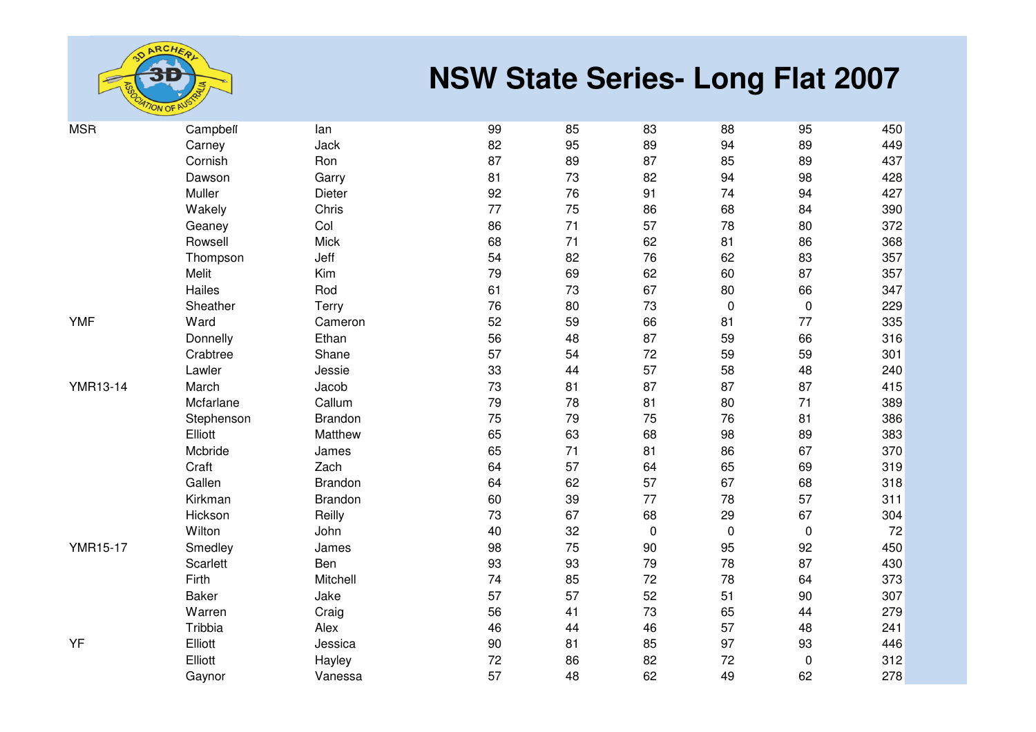

| <b>MSR</b>      | Campbell   | lan         | 99 | 85 | 83          | 88        | 95          | 450 |
|-----------------|------------|-------------|----|----|-------------|-----------|-------------|-----|
|                 | Carney     | Jack        | 82 | 95 | 89          | 94        | 89          | 449 |
|                 | Cornish    | Ron         | 87 | 89 | 87          | 85        | 89          | 437 |
|                 | Dawson     | Garry       | 81 | 73 | 82          | 94        | 98          | 428 |
|                 | Muller     | Dieter      | 92 | 76 | 91          | 74        | 94          | 427 |
|                 | Wakely     | Chris       | 77 | 75 | 86          | 68        | 84          | 390 |
|                 | Geaney     | Col         | 86 | 71 | 57          | 78        | 80          | 372 |
|                 | Rowsell    | <b>Mick</b> | 68 | 71 | 62          | 81        | 86          | 368 |
|                 | Thompson   | Jeff        | 54 | 82 | 76          | 62        | 83          | 357 |
|                 | Melit      | Kim         | 79 | 69 | 62          | 60        | 87          | 357 |
|                 | Hailes     | Rod         | 61 | 73 | 67          | 80        | 66          | 347 |
|                 | Sheather   | Terry       | 76 | 80 | 73          | $\pmb{0}$ | $\pmb{0}$   | 229 |
| <b>YMF</b>      | Ward       | Cameron     | 52 | 59 | 66          | 81        | 77          | 335 |
|                 | Donnelly   | Ethan       | 56 | 48 | 87          | 59        | 66          | 316 |
|                 | Crabtree   | Shane       | 57 | 54 | 72          | 59        | 59          | 301 |
|                 | Lawler     | Jessie      | 33 | 44 | 57          | 58        | 48          | 240 |
| <b>YMR13-14</b> | March      | Jacob       | 73 | 81 | 87          | 87        | 87          | 415 |
|                 | Mcfarlane  | Callum      | 79 | 78 | 81          | 80        | 71          | 389 |
|                 | Stephenson | Brandon     | 75 | 79 | 75          | 76        | 81          | 386 |
|                 | Elliott    | Matthew     | 65 | 63 | 68          | 98        | 89          | 383 |
|                 | Mcbride    | James       | 65 | 71 | 81          | 86        | 67          | 370 |
|                 | Craft      | Zach        | 64 | 57 | 64          | 65        | 69          | 319 |
|                 | Gallen     | Brandon     | 64 | 62 | 57          | 67        | 68          | 318 |
|                 | Kirkman    | Brandon     | 60 | 39 | 77          | 78        | 57          | 311 |
|                 | Hickson    | Reilly      | 73 | 67 | 68          | 29        | 67          | 304 |
|                 | Wilton     | John        | 40 | 32 | $\mathbf 0$ | $\pmb{0}$ | $\mathbf 0$ | 72  |
| <b>YMR15-17</b> | Smedley    | James       | 98 | 75 | 90          | 95        | 92          | 450 |
|                 | Scarlett   | Ben         | 93 | 93 | 79          | 78        | 87          | 430 |
|                 | Firth      | Mitchell    | 74 | 85 | 72          | 78        | 64          | 373 |
|                 | Baker      | Jake        | 57 | 57 | 52          | 51        | 90          | 307 |
|                 | Warren     | Craig       | 56 | 41 | 73          | 65        | 44          | 279 |
|                 | Tribbia    | Alex        | 46 | 44 | 46          | 57        | 48          | 241 |
| YF              | Elliott    | Jessica     | 90 | 81 | 85          | 97        | 93          | 446 |
|                 | Elliott    | Hayley      | 72 | 86 | 82          | 72        | $\pmb{0}$   | 312 |
|                 | Gaynor     | Vanessa     | 57 | 48 | 62          | 49        | 62          | 278 |